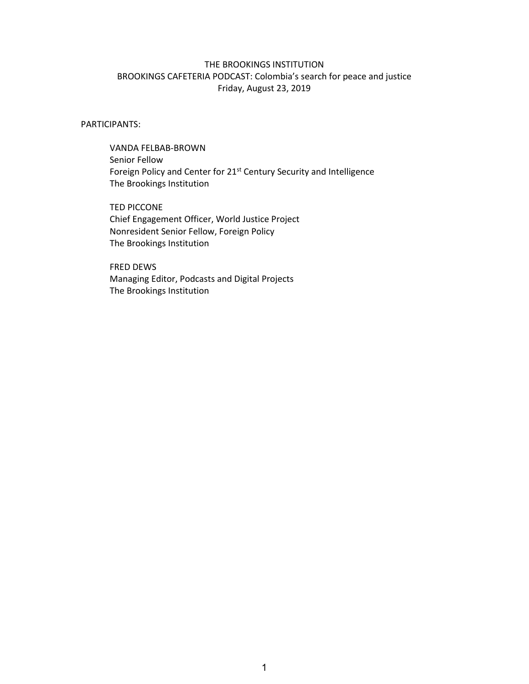## THE BROOKINGS INSTITUTION BROOKINGS CAFETERIA PODCAST: Colombia's search for peace and justice Friday, August 23, 2019

## PARTICIPANTS:

 VANDA FELBAB‐BROWN Senior Fellow Foreign Policy and Center for 21<sup>st</sup> Century Security and Intelligence The Brookings Institution

 TED PICCONE Chief Engagement Officer, World Justice Project Nonresident Senior Fellow, Foreign Policy The Brookings Institution

 FRED DEWS Managing Editor, Podcasts and Digital Projects The Brookings Institution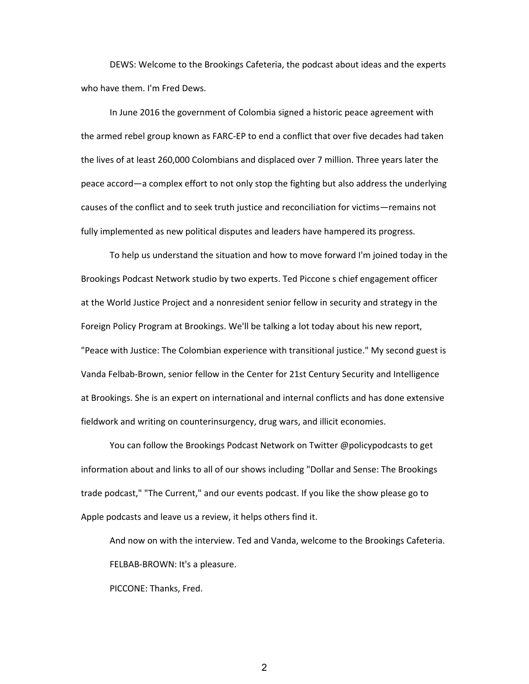DEWS: Welcome to the Brookings Cafeteria, the podcast about ideas and the experts who have them. I'm Fred Dews.

In June 2016 the government of Colombia signed a historic peace agreement with the armed rebel group known as FARC‐EP to end a conflict that over five decades had taken the lives of at least 260,000 Colombians and displaced over 7 million. Three years later the peace accord—a complex effort to not only stop the fighting but also address the underlying causes of the conflict and to seek truth justice and reconciliation for victims—remains not fully implemented as new political disputes and leaders have hampered its progress.

To help us understand the situation and how to move forward I'm joined today in the Brookings Podcast Network studio by two experts. Ted Piccone s chief engagement officer at the World Justice Project and a nonresident senior fellow in security and strategy in the Foreign Policy Program at Brookings. We'll be talking a lot today about his new report, "Peace with Justice: The Colombian experience with transitional justice." My second guest is Vanda Felbab‐Brown, senior fellow in the Center for 21st Century Security and Intelligence at Brookings. She is an expert on international and internal conflicts and has done extensive fieldwork and writing on counterinsurgency, drug wars, and illicit economies.

You can follow the Brookings Podcast Network on Twitter @policypodcasts to get information about and links to all of our shows including "Dollar and Sense: The Brookings trade podcast," "The Current," and our events podcast. If you like the show please go to Apple podcasts and leave us a review, it helps others find it.

And now on with the interview. Ted and Vanda, welcome to the Brookings Cafeteria. FELBAB‐BROWN: It's a pleasure.

PICCONE: Thanks, Fred.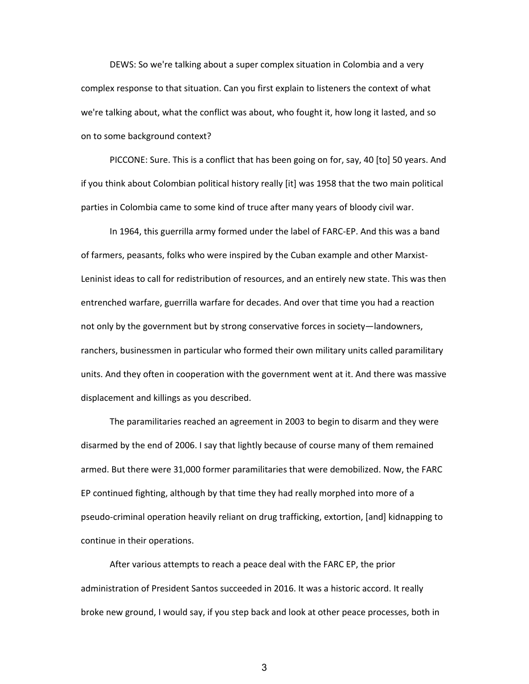DEWS: So we're talking about a super complex situation in Colombia and a very complex response to that situation. Can you first explain to listeners the context of what we're talking about, what the conflict was about, who fought it, how long it lasted, and so on to some background context?

PICCONE: Sure. This is a conflict that has been going on for, say, 40 [to] 50 years. And if you think about Colombian political history really [it] was 1958 that the two main political parties in Colombia came to some kind of truce after many years of bloody civil war.

In 1964, this guerrilla army formed under the label of FARC‐EP. And this was a band of farmers, peasants, folks who were inspired by the Cuban example and other Marxist‐ Leninist ideas to call for redistribution of resources, and an entirely new state. This was then entrenched warfare, guerrilla warfare for decades. And over that time you had a reaction not only by the government but by strong conservative forces in society—landowners, ranchers, businessmen in particular who formed their own military units called paramilitary units. And they often in cooperation with the government went at it. And there was massive displacement and killings as you described.

The paramilitaries reached an agreement in 2003 to begin to disarm and they were disarmed by the end of 2006. I say that lightly because of course many of them remained armed. But there were 31,000 former paramilitaries that were demobilized. Now, the FARC EP continued fighting, although by that time they had really morphed into more of a pseudo‐criminal operation heavily reliant on drug trafficking, extortion, [and] kidnapping to continue in their operations.

After various attempts to reach a peace deal with the FARC EP, the prior administration of President Santos succeeded in 2016. It was a historic accord. It really broke new ground, I would say, if you step back and look at other peace processes, both in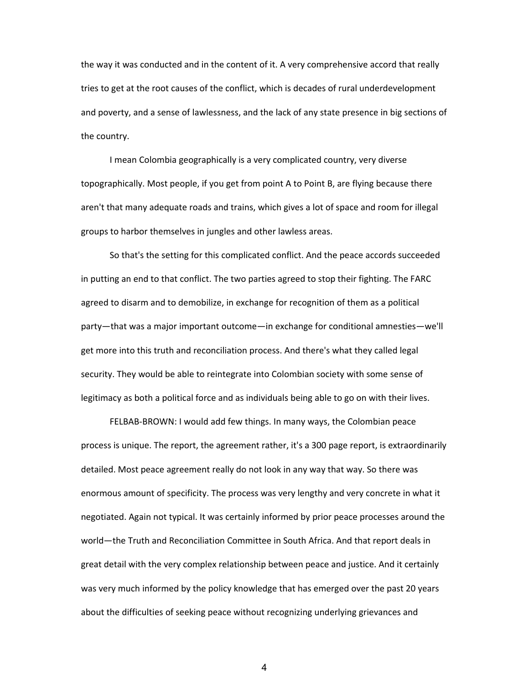the way it was conducted and in the content of it. A very comprehensive accord that really tries to get at the root causes of the conflict, which is decades of rural underdevelopment and poverty, and a sense of lawlessness, and the lack of any state presence in big sections of the country.

I mean Colombia geographically is a very complicated country, very diverse topographically. Most people, if you get from point A to Point B, are flying because there aren't that many adequate roads and trains, which gives a lot of space and room for illegal groups to harbor themselves in jungles and other lawless areas.

So that's the setting for this complicated conflict. And the peace accords succeeded in putting an end to that conflict. The two parties agreed to stop their fighting. The FARC agreed to disarm and to demobilize, in exchange for recognition of them as a political party—that was a major important outcome—in exchange for conditional amnesties—we'll get more into this truth and reconciliation process. And there's what they called legal security. They would be able to reintegrate into Colombian society with some sense of legitimacy as both a political force and as individuals being able to go on with their lives.

FELBAB‐BROWN: I would add few things. In many ways, the Colombian peace process is unique. The report, the agreement rather, it's a 300 page report, is extraordinarily detailed. Most peace agreement really do not look in any way that way. So there was enormous amount of specificity. The process was very lengthy and very concrete in what it negotiated. Again not typical. It was certainly informed by prior peace processes around the world—the Truth and Reconciliation Committee in South Africa. And that report deals in great detail with the very complex relationship between peace and justice. And it certainly was very much informed by the policy knowledge that has emerged over the past 20 years about the difficulties of seeking peace without recognizing underlying grievances and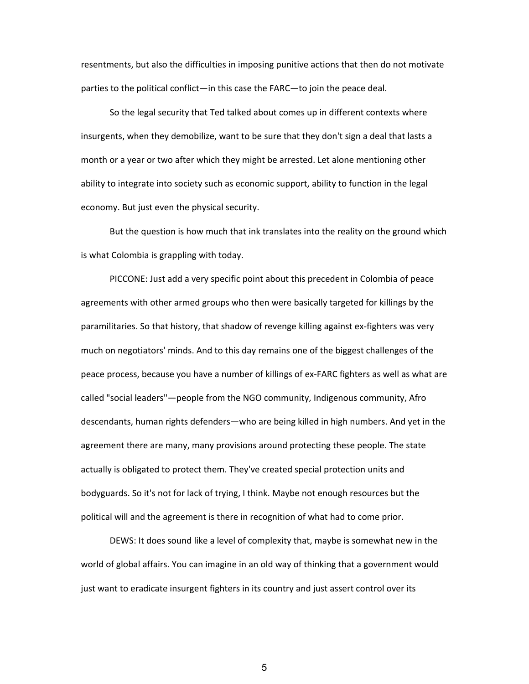resentments, but also the difficulties in imposing punitive actions that then do not motivate parties to the political conflict—in this case the FARC—to join the peace deal.

So the legal security that Ted talked about comes up in different contexts where insurgents, when they demobilize, want to be sure that they don't sign a deal that lasts a month or a year or two after which they might be arrested. Let alone mentioning other ability to integrate into society such as economic support, ability to function in the legal economy. But just even the physical security.

But the question is how much that ink translates into the reality on the ground which is what Colombia is grappling with today.

PICCONE: Just add a very specific point about this precedent in Colombia of peace agreements with other armed groups who then were basically targeted for killings by the paramilitaries. So that history, that shadow of revenge killing against ex-fighters was very much on negotiators' minds. And to this day remains one of the biggest challenges of the peace process, because you have a number of killings of ex-FARC fighters as well as what are called "social leaders"—people from the NGO community, Indigenous community, Afro descendants, human rights defenders—who are being killed in high numbers. And yet in the agreement there are many, many provisions around protecting these people. The state actually is obligated to protect them. They've created special protection units and bodyguards. So it's not for lack of trying, I think. Maybe not enough resources but the political will and the agreement is there in recognition of what had to come prior.

DEWS: It does sound like a level of complexity that, maybe is somewhat new in the world of global affairs. You can imagine in an old way of thinking that a government would just want to eradicate insurgent fighters in its country and just assert control over its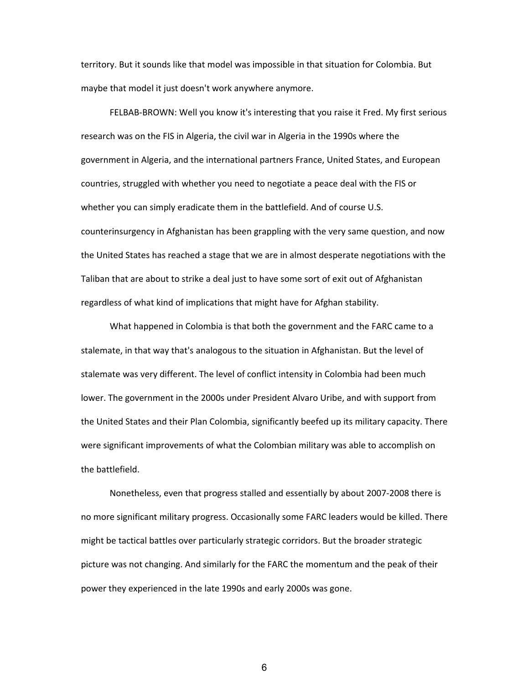territory. But it sounds like that model was impossible in that situation for Colombia. But maybe that model it just doesn't work anywhere anymore.

FELBAB-BROWN: Well you know it's interesting that you raise it Fred. My first serious research was on the FIS in Algeria, the civil war in Algeria in the 1990s where the government in Algeria, and the international partners France, United States, and European countries, struggled with whether you need to negotiate a peace deal with the FIS or whether you can simply eradicate them in the battlefield. And of course U.S. counterinsurgency in Afghanistan has been grappling with the very same question, and now the United States has reached a stage that we are in almost desperate negotiations with the Taliban that are about to strike a deal just to have some sort of exit out of Afghanistan regardless of what kind of implications that might have for Afghan stability.

What happened in Colombia is that both the government and the FARC came to a stalemate, in that way that's analogous to the situation in Afghanistan. But the level of stalemate was very different. The level of conflict intensity in Colombia had been much lower. The government in the 2000s under President Alvaro Uribe, and with support from the United States and their Plan Colombia, significantly beefed up its military capacity. There were significant improvements of what the Colombian military was able to accomplish on the battlefield.

Nonetheless, even that progress stalled and essentially by about 2007‐2008 there is no more significant military progress. Occasionally some FARC leaders would be killed. There might be tactical battles over particularly strategic corridors. But the broader strategic picture was not changing. And similarly for the FARC the momentum and the peak of their power they experienced in the late 1990s and early 2000s was gone.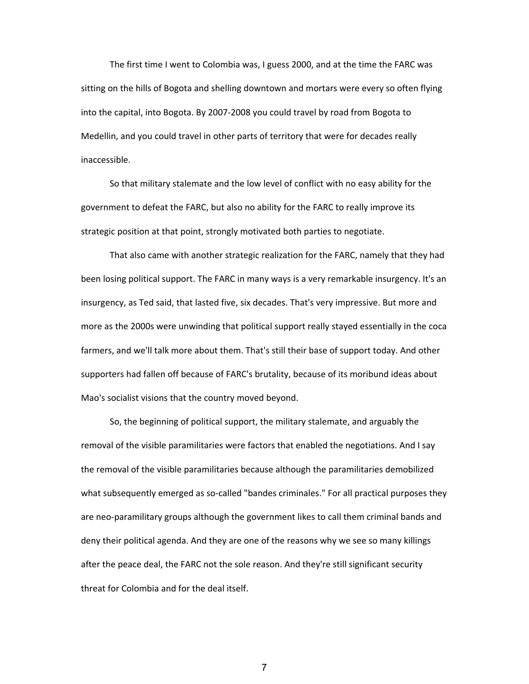The first time I went to Colombia was, I guess 2000, and at the time the FARC was sitting on the hills of Bogota and shelling downtown and mortars were every so often flying into the capital, into Bogota. By 2007‐2008 you could travel by road from Bogota to Medellin, and you could travel in other parts of territory that were for decades really inaccessible.

So that military stalemate and the low level of conflict with no easy ability for the government to defeat the FARC, but also no ability for the FARC to really improve its strategic position at that point, strongly motivated both parties to negotiate.

That also came with another strategic realization for the FARC, namely that they had been losing political support. The FARC in many ways is a very remarkable insurgency. It's an insurgency, as Ted said, that lasted five, six decades. That's very impressive. But more and more as the 2000s were unwinding that political support really stayed essentially in the coca farmers, and we'll talk more about them. That's still their base of support today. And other supporters had fallen off because of FARC's brutality, because of its moribund ideas about Mao's socialist visions that the country moved beyond.

So, the beginning of political support, the military stalemate, and arguably the removal of the visible paramilitaries were factors that enabled the negotiations. And I say the removal of the visible paramilitaries because although the paramilitaries demobilized what subsequently emerged as so-called "bandes criminales." For all practical purposes they are neo‐paramilitary groups although the government likes to call them criminal bands and deny their political agenda. And they are one of the reasons why we see so many killings after the peace deal, the FARC not the sole reason. And they're still significant security threat for Colombia and for the deal itself.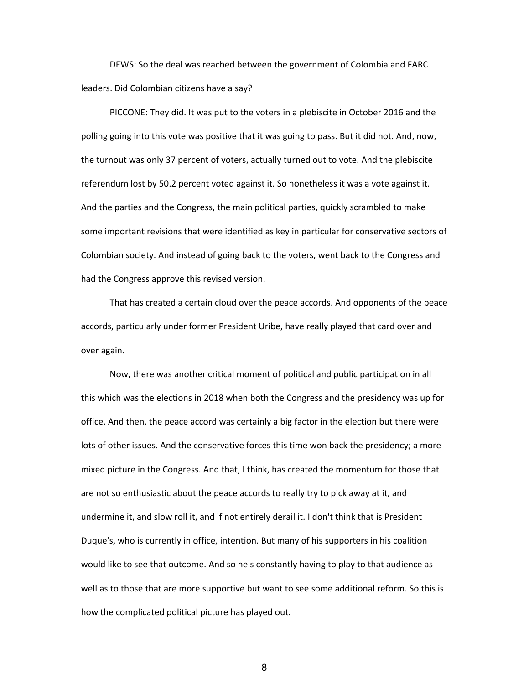DEWS: So the deal was reached between the government of Colombia and FARC leaders. Did Colombian citizens have a say?

PICCONE: They did. It was put to the voters in a plebiscite in October 2016 and the polling going into this vote was positive that it was going to pass. But it did not. And, now, the turnout was only 37 percent of voters, actually turned out to vote. And the plebiscite referendum lost by 50.2 percent voted against it. So nonetheless it was a vote against it. And the parties and the Congress, the main political parties, quickly scrambled to make some important revisions that were identified as key in particular for conservative sectors of Colombian society. And instead of going back to the voters, went back to the Congress and had the Congress approve this revised version.

That has created a certain cloud over the peace accords. And opponents of the peace accords, particularly under former President Uribe, have really played that card over and over again.

Now, there was another critical moment of political and public participation in all this which was the elections in 2018 when both the Congress and the presidency was up for office. And then, the peace accord was certainly a big factor in the election but there were lots of other issues. And the conservative forces this time won back the presidency; a more mixed picture in the Congress. And that, I think, has created the momentum for those that are not so enthusiastic about the peace accords to really try to pick away at it, and undermine it, and slow roll it, and if not entirely derail it. I don't think that is President Duque's, who is currently in office, intention. But many of his supporters in his coalition would like to see that outcome. And so he's constantly having to play to that audience as well as to those that are more supportive but want to see some additional reform. So this is how the complicated political picture has played out.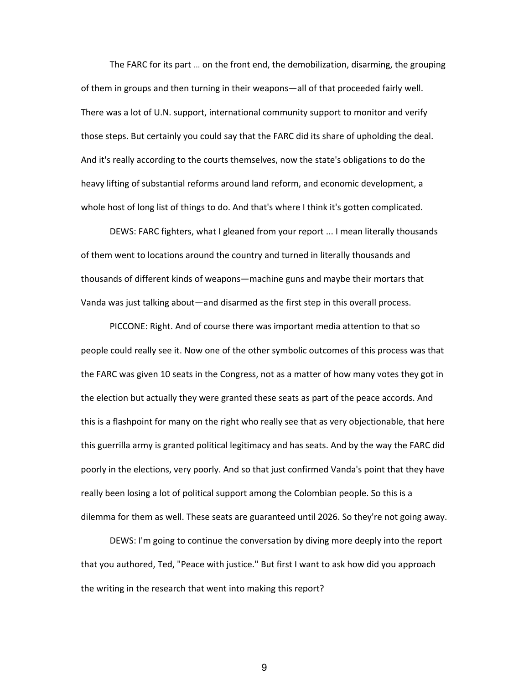The FARC for its part … on the front end, the demobilization, disarming, the grouping of them in groups and then turning in their weapons—all of that proceeded fairly well. There was a lot of U.N. support, international community support to monitor and verify those steps. But certainly you could say that the FARC did its share of upholding the deal. And it's really according to the courts themselves, now the state's obligations to do the heavy lifting of substantial reforms around land reform, and economic development, a whole host of long list of things to do. And that's where I think it's gotten complicated.

DEWS: FARC fighters, what I gleaned from your report ... I mean literally thousands of them went to locations around the country and turned in literally thousands and thousands of different kinds of weapons—machine guns and maybe their mortars that Vanda was just talking about—and disarmed as the first step in this overall process.

PICCONE: Right. And of course there was important media attention to that so people could really see it. Now one of the other symbolic outcomes of this process was that the FARC was given 10 seats in the Congress, not as a matter of how many votes they got in the election but actually they were granted these seats as part of the peace accords. And this is a flashpoint for many on the right who really see that as very objectionable, that here this guerrilla army is granted political legitimacy and has seats. And by the way the FARC did poorly in the elections, very poorly. And so that just confirmed Vanda's point that they have really been losing a lot of political support among the Colombian people. So this is a dilemma for them as well. These seats are guaranteed until 2026. So they're not going away.

DEWS: I'm going to continue the conversation by diving more deeply into the report that you authored, Ted, "Peace with justice." But first I want to ask how did you approach the writing in the research that went into making this report?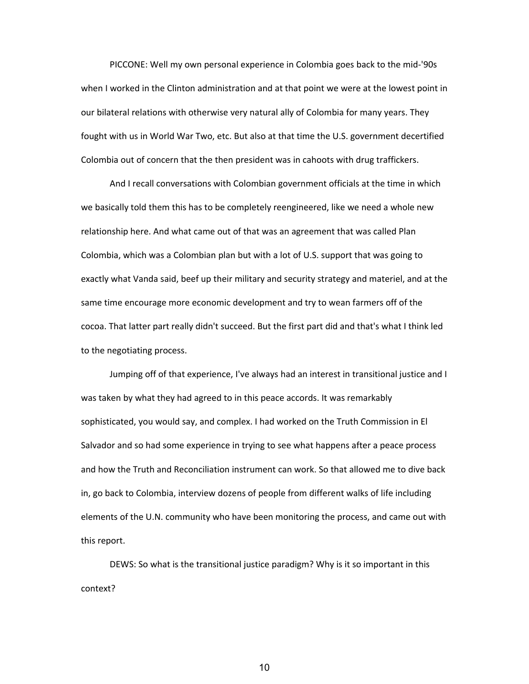PICCONE: Well my own personal experience in Colombia goes back to the mid‐'90s when I worked in the Clinton administration and at that point we were at the lowest point in our bilateral relations with otherwise very natural ally of Colombia for many years. They fought with us in World War Two, etc. But also at that time the U.S. government decertified Colombia out of concern that the then president was in cahoots with drug traffickers.

And I recall conversations with Colombian government officials at the time in which we basically told them this has to be completely reengineered, like we need a whole new relationship here. And what came out of that was an agreement that was called Plan Colombia, which was a Colombian plan but with a lot of U.S. support that was going to exactly what Vanda said, beef up their military and security strategy and materiel, and at the same time encourage more economic development and try to wean farmers off of the cocoa. That latter part really didn't succeed. But the first part did and that's what I think led to the negotiating process.

Jumping off of that experience, I've always had an interest in transitional justice and I was taken by what they had agreed to in this peace accords. It was remarkably sophisticated, you would say, and complex. I had worked on the Truth Commission in El Salvador and so had some experience in trying to see what happens after a peace process and how the Truth and Reconciliation instrument can work. So that allowed me to dive back in, go back to Colombia, interview dozens of people from different walks of life including elements of the U.N. community who have been monitoring the process, and came out with this report.

DEWS: So what is the transitional justice paradigm? Why is it so important in this context?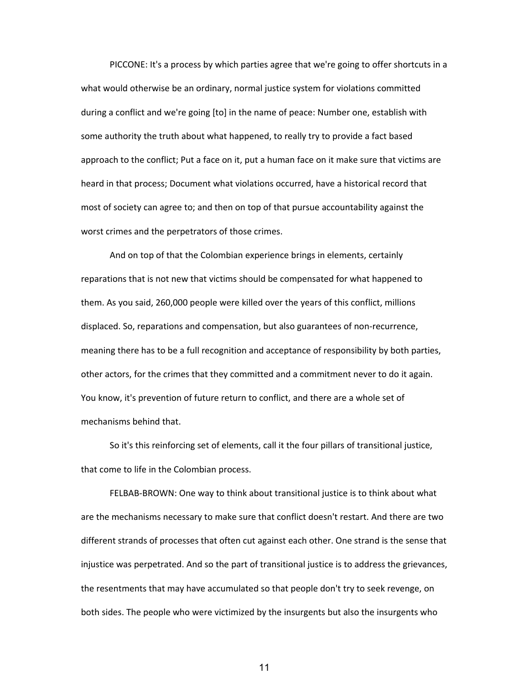PICCONE: It's a process by which parties agree that we're going to offer shortcuts in a what would otherwise be an ordinary, normal justice system for violations committed during a conflict and we're going [to] in the name of peace: Number one, establish with some authority the truth about what happened, to really try to provide a fact based approach to the conflict; Put a face on it, put a human face on it make sure that victims are heard in that process; Document what violations occurred, have a historical record that most of society can agree to; and then on top of that pursue accountability against the worst crimes and the perpetrators of those crimes.

And on top of that the Colombian experience brings in elements, certainly reparations that is not new that victims should be compensated for what happened to them. As you said, 260,000 people were killed over the years of this conflict, millions displaced. So, reparations and compensation, but also guarantees of non‐recurrence, meaning there has to be a full recognition and acceptance of responsibility by both parties, other actors, for the crimes that they committed and a commitment never to do it again. You know, it's prevention of future return to conflict, and there are a whole set of mechanisms behind that.

So it's this reinforcing set of elements, call it the four pillars of transitional justice, that come to life in the Colombian process.

FELBAB-BROWN: One way to think about transitional justice is to think about what are the mechanisms necessary to make sure that conflict doesn't restart. And there are two different strands of processes that often cut against each other. One strand is the sense that injustice was perpetrated. And so the part of transitional justice is to address the grievances, the resentments that may have accumulated so that people don't try to seek revenge, on both sides. The people who were victimized by the insurgents but also the insurgents who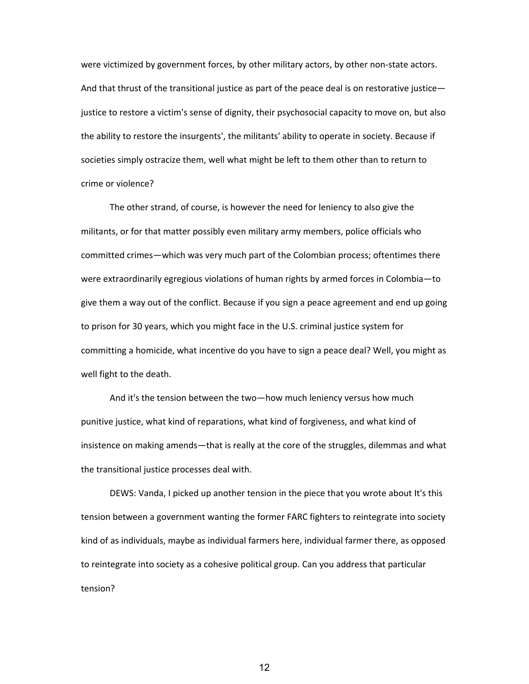were victimized by government forces, by other military actors, by other non-state actors. And that thrust of the transitional justice as part of the peace deal is on restorative justice justice to restore a victim's sense of dignity, their psychosocial capacity to move on, but also the ability to restore the insurgents', the militants' ability to operate in society. Because if societies simply ostracize them, well what might be left to them other than to return to crime or violence?

The other strand, of course, is however the need for leniency to also give the militants, or for that matter possibly even military army members, police officials who committed crimes—which was very much part of the Colombian process; oftentimes there were extraordinarily egregious violations of human rights by armed forces in Colombia—to give them a way out of the conflict. Because if you sign a peace agreement and end up going to prison for 30 years, which you might face in the U.S. criminal justice system for committing a homicide, what incentive do you have to sign a peace deal? Well, you might as well fight to the death.

And it's the tension between the two—how much leniency versus how much punitive justice, what kind of reparations, what kind of forgiveness, and what kind of insistence on making amends—that is really at the core of the struggles, dilemmas and what the transitional justice processes deal with.

DEWS: Vanda, I picked up another tension in the piece that you wrote about It's this tension between a government wanting the former FARC fighters to reintegrate into society kind of as individuals, maybe as individual farmers here, individual farmer there, as opposed to reintegrate into society as a cohesive political group. Can you address that particular tension?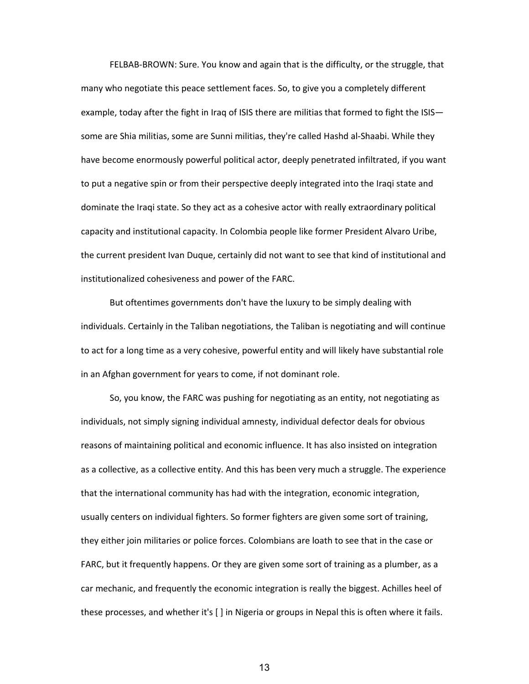FELBAB‐BROWN: Sure. You know and again that is the difficulty, or the struggle, that many who negotiate this peace settlement faces. So, to give you a completely different example, today after the fight in Iraq of ISIS there are militias that formed to fight the ISIS some are Shia militias, some are Sunni militias, they're called Hashd al‐Shaabi. While they have become enormously powerful political actor, deeply penetrated infiltrated, if you want to put a negative spin or from their perspective deeply integrated into the Iraqi state and dominate the Iraqi state. So they act as a cohesive actor with really extraordinary political capacity and institutional capacity. In Colombia people like former President Alvaro Uribe, the current president Ivan Duque, certainly did not want to see that kind of institutional and institutionalized cohesiveness and power of the FARC.

But oftentimes governments don't have the luxury to be simply dealing with individuals. Certainly in the Taliban negotiations, the Taliban is negotiating and will continue to act for a long time as a very cohesive, powerful entity and will likely have substantial role in an Afghan government for years to come, if not dominant role.

So, you know, the FARC was pushing for negotiating as an entity, not negotiating as individuals, not simply signing individual amnesty, individual defector deals for obvious reasons of maintaining political and economic influence. It has also insisted on integration as a collective, as a collective entity. And this has been very much a struggle. The experience that the international community has had with the integration, economic integration, usually centers on individual fighters. So former fighters are given some sort of training, they either join militaries or police forces. Colombians are loath to see that in the case or FARC, but it frequently happens. Or they are given some sort of training as a plumber, as a car mechanic, and frequently the economic integration is really the biggest. Achilles heel of these processes, and whether it's [ ] in Nigeria or groups in Nepal this is often where it fails.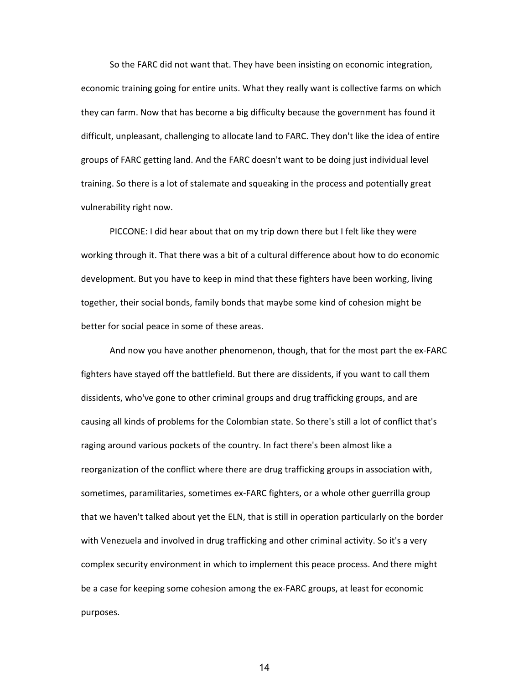So the FARC did not want that. They have been insisting on economic integration, economic training going for entire units. What they really want is collective farms on which they can farm. Now that has become a big difficulty because the government has found it difficult, unpleasant, challenging to allocate land to FARC. They don't like the idea of entire groups of FARC getting land. And the FARC doesn't want to be doing just individual level training. So there is a lot of stalemate and squeaking in the process and potentially great vulnerability right now.

PICCONE: I did hear about that on my trip down there but I felt like they were working through it. That there was a bit of a cultural difference about how to do economic development. But you have to keep in mind that these fighters have been working, living together, their social bonds, family bonds that maybe some kind of cohesion might be better for social peace in some of these areas.

And now you have another phenomenon, though, that for the most part the ex‐FARC fighters have stayed off the battlefield. But there are dissidents, if you want to call them dissidents, who've gone to other criminal groups and drug trafficking groups, and are causing all kinds of problems for the Colombian state. So there's still a lot of conflict that's raging around various pockets of the country. In fact there's been almost like a reorganization of the conflict where there are drug trafficking groups in association with, sometimes, paramilitaries, sometimes ex-FARC fighters, or a whole other guerrilla group that we haven't talked about yet the ELN, that is still in operation particularly on the border with Venezuela and involved in drug trafficking and other criminal activity. So it's a very complex security environment in which to implement this peace process. And there might be a case for keeping some cohesion among the ex-FARC groups, at least for economic purposes.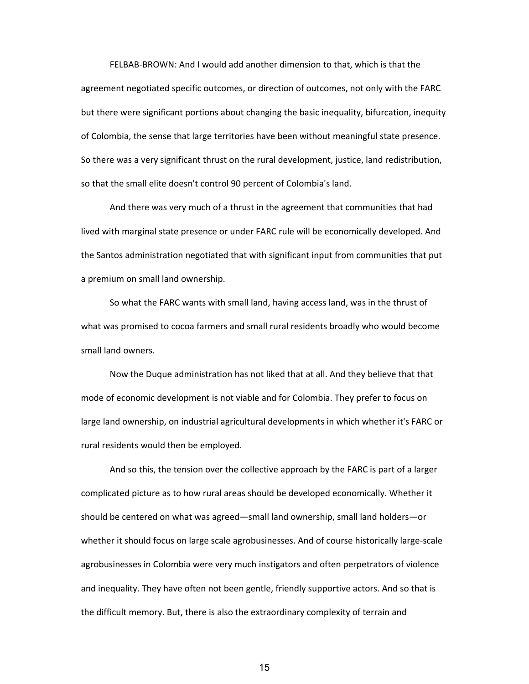FELBAB‐BROWN: And I would add another dimension to that, which is that the agreement negotiated specific outcomes, or direction of outcomes, not only with the FARC but there were significant portions about changing the basic inequality, bifurcation, inequity of Colombia, the sense that large territories have been without meaningful state presence. So there was a very significant thrust on the rural development, justice, land redistribution, so that the small elite doesn't control 90 percent of Colombia's land.

And there was very much of a thrust in the agreement that communities that had lived with marginal state presence or under FARC rule will be economically developed. And the Santos administration negotiated that with significant input from communities that put a premium on small land ownership.

So what the FARC wants with small land, having access land, was in the thrust of what was promised to cocoa farmers and small rural residents broadly who would become small land owners.

Now the Duque administration has not liked that at all. And they believe that that mode of economic development is not viable and for Colombia. They prefer to focus on large land ownership, on industrial agricultural developments in which whether it's FARC or rural residents would then be employed.

And so this, the tension over the collective approach by the FARC is part of a larger complicated picture as to how rural areas should be developed economically. Whether it should be centered on what was agreed—small land ownership, small land holders—or whether it should focus on large scale agrobusinesses. And of course historically large-scale agrobusinesses in Colombia were very much instigators and often perpetrators of violence and inequality. They have often not been gentle, friendly supportive actors. And so that is the difficult memory. But, there is also the extraordinary complexity of terrain and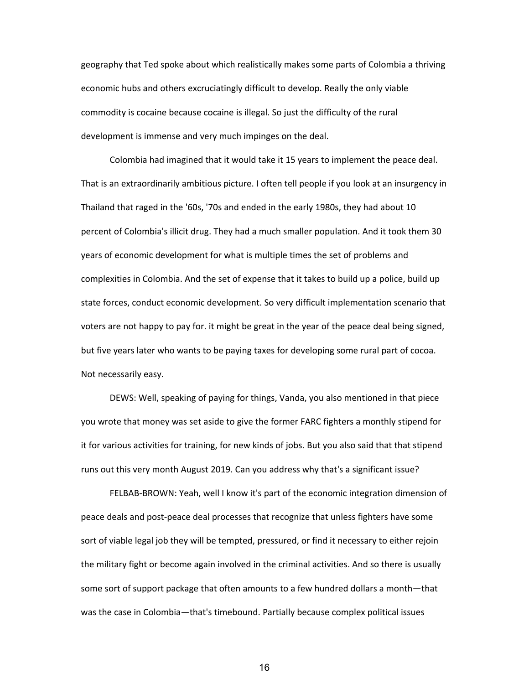geography that Ted spoke about which realistically makes some parts of Colombia a thriving economic hubs and others excruciatingly difficult to develop. Really the only viable commodity is cocaine because cocaine is illegal. So just the difficulty of the rural development is immense and very much impinges on the deal.

Colombia had imagined that it would take it 15 years to implement the peace deal. That is an extraordinarily ambitious picture. I often tell people if you look at an insurgency in Thailand that raged in the '60s, '70s and ended in the early 1980s, they had about 10 percent of Colombia's illicit drug. They had a much smaller population. And it took them 30 years of economic development for what is multiple times the set of problems and complexities in Colombia. And the set of expense that it takes to build up a police, build up state forces, conduct economic development. So very difficult implementation scenario that voters are not happy to pay for. it might be great in the year of the peace deal being signed, but five years later who wants to be paying taxes for developing some rural part of cocoa. Not necessarily easy.

DEWS: Well, speaking of paying for things, Vanda, you also mentioned in that piece you wrote that money was set aside to give the former FARC fighters a monthly stipend for it for various activities for training, for new kinds of jobs. But you also said that that stipend runs out this very month August 2019. Can you address why that's a significant issue?

FELBAB‐BROWN: Yeah, well I know it's part of the economic integration dimension of peace deals and post‐peace deal processes that recognize that unless fighters have some sort of viable legal job they will be tempted, pressured, or find it necessary to either rejoin the military fight or become again involved in the criminal activities. And so there is usually some sort of support package that often amounts to a few hundred dollars a month—that was the case in Colombia—that's timebound. Partially because complex political issues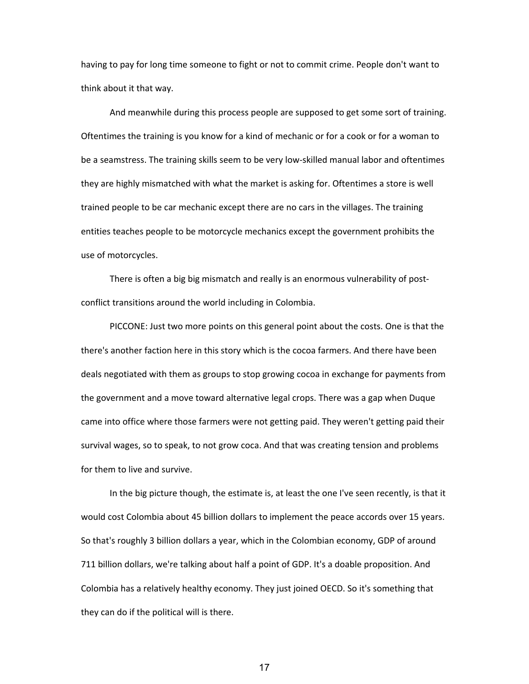having to pay for long time someone to fight or not to commit crime. People don't want to think about it that way.

And meanwhile during this process people are supposed to get some sort of training. Oftentimes the training is you know for a kind of mechanic or for a cook or for a woman to be a seamstress. The training skills seem to be very low‐skilled manual labor and oftentimes they are highly mismatched with what the market is asking for. Oftentimes a store is well trained people to be car mechanic except there are no cars in the villages. The training entities teaches people to be motorcycle mechanics except the government prohibits the use of motorcycles.

There is often a big big mismatch and really is an enormous vulnerability of postconflict transitions around the world including in Colombia.

PICCONE: Just two more points on this general point about the costs. One is that the there's another faction here in this story which is the cocoa farmers. And there have been deals negotiated with them as groups to stop growing cocoa in exchange for payments from the government and a move toward alternative legal crops. There was a gap when Duque came into office where those farmers were not getting paid. They weren't getting paid their survival wages, so to speak, to not grow coca. And that was creating tension and problems for them to live and survive.

In the big picture though, the estimate is, at least the one I've seen recently, is that it would cost Colombia about 45 billion dollars to implement the peace accords over 15 years. So that's roughly 3 billion dollars a year, which in the Colombian economy, GDP of around 711 billion dollars, we're talking about half a point of GDP. It's a doable proposition. And Colombia has a relatively healthy economy. They just joined OECD. So it's something that they can do if the political will is there.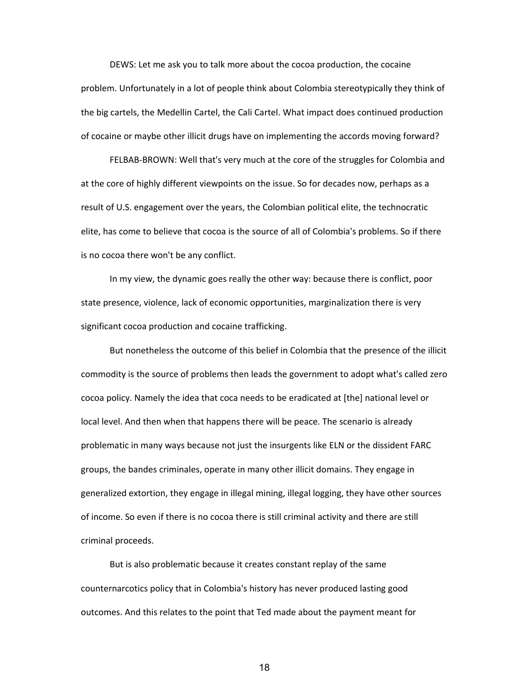DEWS: Let me ask you to talk more about the cocoa production, the cocaine problem. Unfortunately in a lot of people think about Colombia stereotypically they think of the big cartels, the Medellin Cartel, the Cali Cartel. What impact does continued production of cocaine or maybe other illicit drugs have on implementing the accords moving forward?

FELBAB‐BROWN: Well that's very much at the core of the struggles for Colombia and at the core of highly different viewpoints on the issue. So for decades now, perhaps as a result of U.S. engagement over the years, the Colombian political elite, the technocratic elite, has come to believe that cocoa is the source of all of Colombia's problems. So if there is no cocoa there won't be any conflict.

In my view, the dynamic goes really the other way: because there is conflict, poor state presence, violence, lack of economic opportunities, marginalization there is very significant cocoa production and cocaine trafficking.

But nonetheless the outcome of this belief in Colombia that the presence of the illicit commodity is the source of problems then leads the government to adopt what's called zero cocoa policy. Namely the idea that coca needs to be eradicated at [the] national level or local level. And then when that happens there will be peace. The scenario is already problematic in many ways because not just the insurgents like ELN or the dissident FARC groups, the bandes criminales, operate in many other illicit domains. They engage in generalized extortion, they engage in illegal mining, illegal logging, they have other sources of income. So even if there is no cocoa there is still criminal activity and there are still criminal proceeds.

But is also problematic because it creates constant replay of the same counternarcotics policy that in Colombia's history has never produced lasting good outcomes. And this relates to the point that Ted made about the payment meant for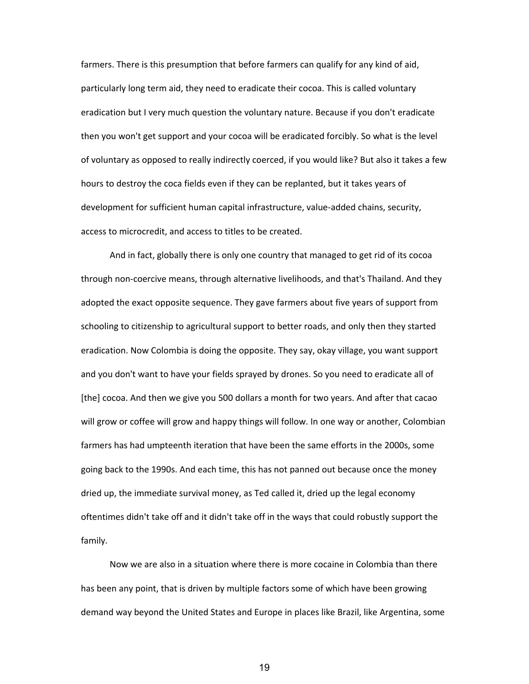farmers. There is this presumption that before farmers can qualify for any kind of aid, particularly long term aid, they need to eradicate their cocoa. This is called voluntary eradication but I very much question the voluntary nature. Because if you don't eradicate then you won't get support and your cocoa will be eradicated forcibly. So what is the level of voluntary as opposed to really indirectly coerced, if you would like? But also it takes a few hours to destroy the coca fields even if they can be replanted, but it takes years of development for sufficient human capital infrastructure, value‐added chains, security, access to microcredit, and access to titles to be created.

And in fact, globally there is only one country that managed to get rid of its cocoa through non‐coercive means, through alternative livelihoods, and that's Thailand. And they adopted the exact opposite sequence. They gave farmers about five years of support from schooling to citizenship to agricultural support to better roads, and only then they started eradication. Now Colombia is doing the opposite. They say, okay village, you want support and you don't want to have your fields sprayed by drones. So you need to eradicate all of [the] cocoa. And then we give you 500 dollars a month for two years. And after that cacao will grow or coffee will grow and happy things will follow. In one way or another, Colombian farmers has had umpteenth iteration that have been the same efforts in the 2000s, some going back to the 1990s. And each time, this has not panned out because once the money dried up, the immediate survival money, as Ted called it, dried up the legal economy oftentimes didn't take off and it didn't take off in the ways that could robustly support the family.

Now we are also in a situation where there is more cocaine in Colombia than there has been any point, that is driven by multiple factors some of which have been growing demand way beyond the United States and Europe in places like Brazil, like Argentina, some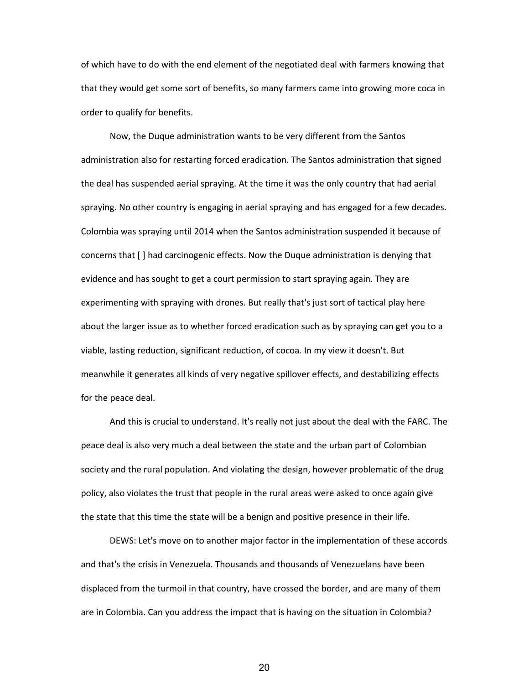of which have to do with the end element of the negotiated deal with farmers knowing that that they would get some sort of benefits, so many farmers came into growing more coca in order to qualify for benefits.

Now, the Duque administration wants to be very different from the Santos administration also for restarting forced eradication. The Santos administration that signed the deal has suspended aerial spraying. At the time it was the only country that had aerial spraying. No other country is engaging in aerial spraying and has engaged for a few decades. Colombia was spraying until 2014 when the Santos administration suspended it because of concerns that [ ] had carcinogenic effects. Now the Duque administration is denying that evidence and has sought to get a court permission to start spraying again. They are experimenting with spraying with drones. But really that's just sort of tactical play here about the larger issue as to whether forced eradication such as by spraying can get you to a viable, lasting reduction, significant reduction, of cocoa. In my view it doesn't. But meanwhile it generates all kinds of very negative spillover effects, and destabilizing effects for the peace deal.

And this is crucial to understand. It's really not just about the deal with the FARC. The peace deal is also very much a deal between the state and the urban part of Colombian society and the rural population. And violating the design, however problematic of the drug policy, also violates the trust that people in the rural areas were asked to once again give the state that this time the state will be a benign and positive presence in their life.

DEWS: Let's move on to another major factor in the implementation of these accords and that's the crisis in Venezuela. Thousands and thousands of Venezuelans have been displaced from the turmoil in that country, have crossed the border, and are many of them are in Colombia. Can you address the impact that is having on the situation in Colombia?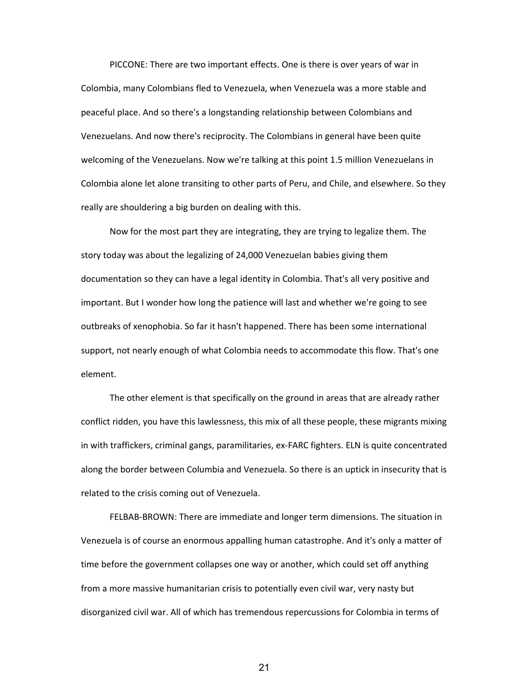PICCONE: There are two important effects. One is there is over years of war in Colombia, many Colombians fled to Venezuela, when Venezuela was a more stable and peaceful place. And so there's a longstanding relationship between Colombians and Venezuelans. And now there's reciprocity. The Colombians in general have been quite welcoming of the Venezuelans. Now we're talking at this point 1.5 million Venezuelans in Colombia alone let alone transiting to other parts of Peru, and Chile, and elsewhere. So they really are shouldering a big burden on dealing with this.

Now for the most part they are integrating, they are trying to legalize them. The story today was about the legalizing of 24,000 Venezuelan babies giving them documentation so they can have a legal identity in Colombia. That's all very positive and important. But I wonder how long the patience will last and whether we're going to see outbreaks of xenophobia. So far it hasn't happened. There has been some international support, not nearly enough of what Colombia needs to accommodate this flow. That's one element.

The other element is that specifically on the ground in areas that are already rather conflict ridden, you have this lawlessness, this mix of all these people, these migrants mixing in with traffickers, criminal gangs, paramilitaries, ex-FARC fighters. ELN is quite concentrated along the border between Columbia and Venezuela. So there is an uptick in insecurity that is related to the crisis coming out of Venezuela.

FELBAB‐BROWN: There are immediate and longer term dimensions. The situation in Venezuela is of course an enormous appalling human catastrophe. And it's only a matter of time before the government collapses one way or another, which could set off anything from a more massive humanitarian crisis to potentially even civil war, very nasty but disorganized civil war. All of which has tremendous repercussions for Colombia in terms of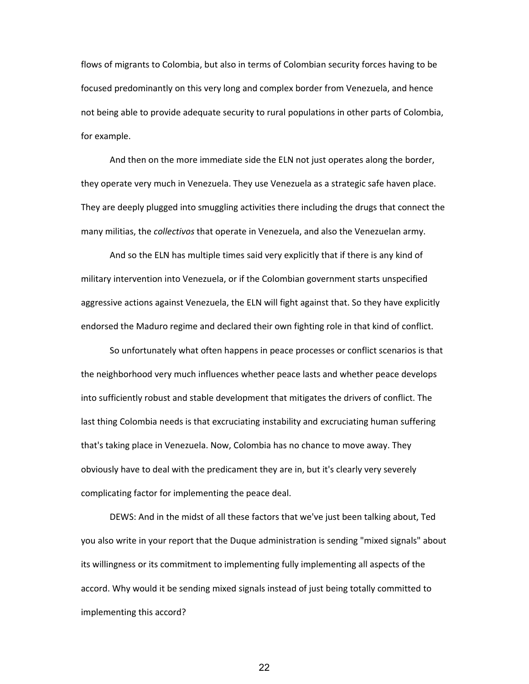flows of migrants to Colombia, but also in terms of Colombian security forces having to be focused predominantly on this very long and complex border from Venezuela, and hence not being able to provide adequate security to rural populations in other parts of Colombia, for example.

And then on the more immediate side the ELN not just operates along the border, they operate very much in Venezuela. They use Venezuela as a strategic safe haven place. They are deeply plugged into smuggling activities there including the drugs that connect the many militias, the *collectivos* that operate in Venezuela, and also the Venezuelan army.

And so the ELN has multiple times said very explicitly that if there is any kind of military intervention into Venezuela, or if the Colombian government starts unspecified aggressive actions against Venezuela, the ELN will fight against that. So they have explicitly endorsed the Maduro regime and declared their own fighting role in that kind of conflict.

So unfortunately what often happens in peace processes or conflict scenarios is that the neighborhood very much influences whether peace lasts and whether peace develops into sufficiently robust and stable development that mitigates the drivers of conflict. The last thing Colombia needs is that excruciating instability and excruciating human suffering that's taking place in Venezuela. Now, Colombia has no chance to move away. They obviously have to deal with the predicament they are in, but it's clearly very severely complicating factor for implementing the peace deal.

DEWS: And in the midst of all these factors that we've just been talking about, Ted you also write in your report that the Duque administration is sending "mixed signals" about its willingness or its commitment to implementing fully implementing all aspects of the accord. Why would it be sending mixed signals instead of just being totally committed to implementing this accord?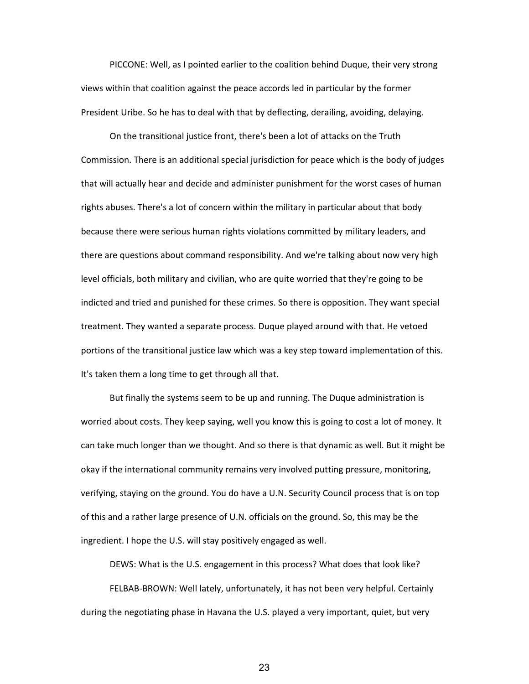PICCONE: Well, as I pointed earlier to the coalition behind Duque, their very strong views within that coalition against the peace accords led in particular by the former President Uribe. So he has to deal with that by deflecting, derailing, avoiding, delaying.

On the transitional justice front, there's been a lot of attacks on the Truth Commission. There is an additional special jurisdiction for peace which is the body of judges that will actually hear and decide and administer punishment for the worst cases of human rights abuses. There's a lot of concern within the military in particular about that body because there were serious human rights violations committed by military leaders, and there are questions about command responsibility. And we're talking about now very high level officials, both military and civilian, who are quite worried that they're going to be indicted and tried and punished for these crimes. So there is opposition. They want special treatment. They wanted a separate process. Duque played around with that. He vetoed portions of the transitional justice law which was a key step toward implementation of this. It's taken them a long time to get through all that.

But finally the systems seem to be up and running. The Duque administration is worried about costs. They keep saying, well you know this is going to cost a lot of money. It can take much longer than we thought. And so there is that dynamic as well. But it might be okay if the international community remains very involved putting pressure, monitoring, verifying, staying on the ground. You do have a U.N. Security Council process that is on top of this and a rather large presence of U.N. officials on the ground. So, this may be the ingredient. I hope the U.S. will stay positively engaged as well.

DEWS: What is the U.S. engagement in this process? What does that look like?

FELBAB-BROWN: Well lately, unfortunately, it has not been very helpful. Certainly during the negotiating phase in Havana the U.S. played a very important, quiet, but very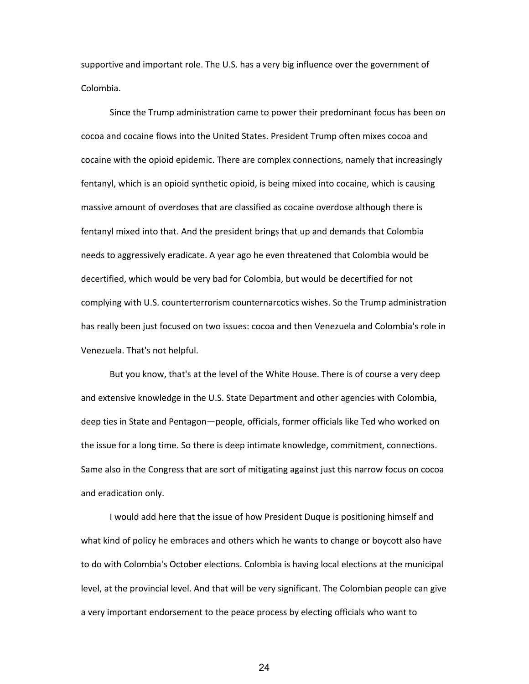supportive and important role. The U.S. has a very big influence over the government of Colombia.

Since the Trump administration came to power their predominant focus has been on cocoa and cocaine flows into the United States. President Trump often mixes cocoa and cocaine with the opioid epidemic. There are complex connections, namely that increasingly fentanyl, which is an opioid synthetic opioid, is being mixed into cocaine, which is causing massive amount of overdoses that are classified as cocaine overdose although there is fentanyl mixed into that. And the president brings that up and demands that Colombia needs to aggressively eradicate. A year ago he even threatened that Colombia would be decertified, which would be very bad for Colombia, but would be decertified for not complying with U.S. counterterrorism counternarcotics wishes. So the Trump administration has really been just focused on two issues: cocoa and then Venezuela and Colombia's role in Venezuela. That's not helpful.

But you know, that's at the level of the White House. There is of course a very deep and extensive knowledge in the U.S. State Department and other agencies with Colombia, deep ties in State and Pentagon—people, officials, former officials like Ted who worked on the issue for a long time. So there is deep intimate knowledge, commitment, connections. Same also in the Congress that are sort of mitigating against just this narrow focus on cocoa and eradication only.

I would add here that the issue of how President Duque is positioning himself and what kind of policy he embraces and others which he wants to change or boycott also have to do with Colombia's October elections. Colombia is having local elections at the municipal level, at the provincial level. And that will be very significant. The Colombian people can give a very important endorsement to the peace process by electing officials who want to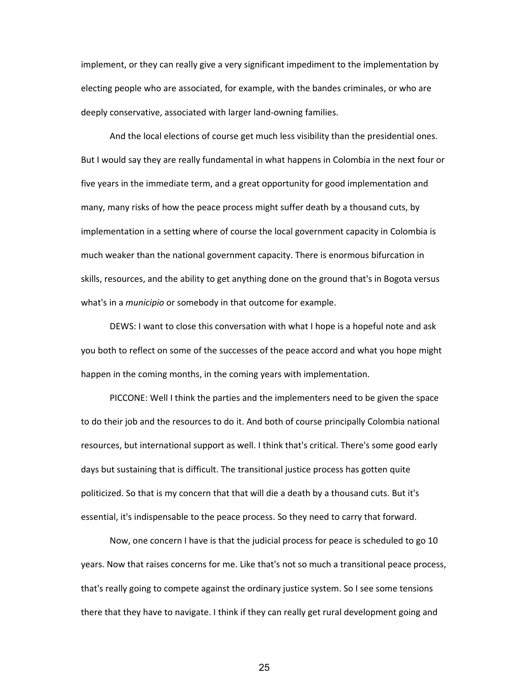implement, or they can really give a very significant impediment to the implementation by electing people who are associated, for example, with the bandes criminales, or who are deeply conservative, associated with larger land‐owning families.

And the local elections of course get much less visibility than the presidential ones. But I would say they are really fundamental in what happens in Colombia in the next four or five years in the immediate term, and a great opportunity for good implementation and many, many risks of how the peace process might suffer death by a thousand cuts, by implementation in a setting where of course the local government capacity in Colombia is much weaker than the national government capacity. There is enormous bifurcation in skills, resources, and the ability to get anything done on the ground that's in Bogota versus what's in a *municipio* or somebody in that outcome for example.

DEWS: I want to close this conversation with what I hope is a hopeful note and ask you both to reflect on some of the successes of the peace accord and what you hope might happen in the coming months, in the coming years with implementation.

PICCONE: Well I think the parties and the implementers need to be given the space to do their job and the resources to do it. And both of course principally Colombia national resources, but international support as well. I think that's critical. There's some good early days but sustaining that is difficult. The transitional justice process has gotten quite politicized. So that is my concern that that will die a death by a thousand cuts. But it's essential, it's indispensable to the peace process. So they need to carry that forward.

Now, one concern I have is that the judicial process for peace is scheduled to go 10 years. Now that raises concerns for me. Like that's not so much a transitional peace process, that's really going to compete against the ordinary justice system. So I see some tensions there that they have to navigate. I think if they can really get rural development going and